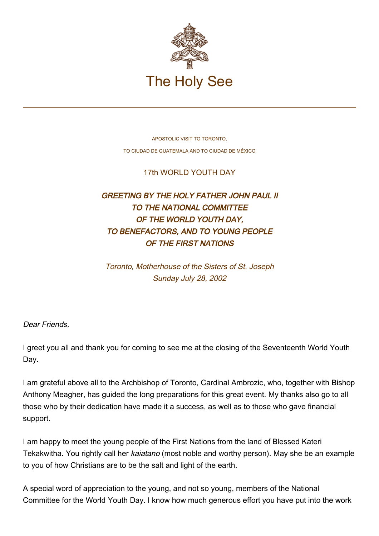

APOSTOLIC VISIT TO TORONTO, TO CIUDAD DE GUATEMALA AND TO CIUDAD DE MÉXICO

17th WORLD YOUTH DAY

## GREETING BY THE HOLY FATHER JOHN PAUL II TO THE NATIONAL COMMITTEE OF THE WORLD YOUTH DAY, TO BENEFACTORS, AND TO YOUNG PEOPLE OF THE FIRST NATIONS

Toronto, Motherhouse of the Sisters of St. Joseph Sunday July 28, 2002

Dear Friends,

I greet you all and thank you for coming to see me at the closing of the Seventeenth World Youth Day.

I am grateful above all to the Archbishop of Toronto, Cardinal Ambrozic, who, together with Bishop Anthony Meagher, has guided the long preparations for this great event. My thanks also go to all those who by their dedication have made it a success, as well as to those who gave financial support.

I am happy to meet the young people of the First Nations from the land of Blessed Kateri Tekakwitha. You rightly call her kaiatano (most noble and worthy person). May she be an example to you of how Christians are to be the salt and light of the earth.

A special word of appreciation to the young, and not so young, members of the National Committee for the World Youth Day. I know how much generous effort you have put into the work